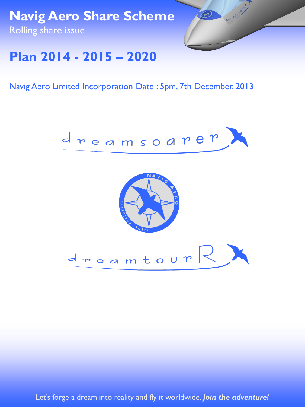**Navig Aero Share Scheme** Rolling share issue



# **Plan 2014 - 2015 – 2020**

Navig Aero Limited Incorporation Date : 5pm, 7th December, 2013



Let's forge a dream into reality and fly it worldwide. **Join the adventure!**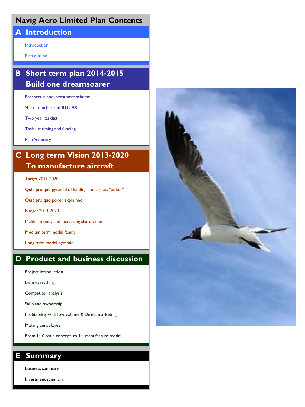### **Navig Aero Limited Plan Contents**

### **A Introduction**

Introduction

Plan outline

## **B Short term plan 2014-2015 Build one dreamsoarer**

Prospectus and investment scheme

Share tranches and **RULES**

Two year tasklist

Task list timing and funding

Plan Summary

## **C Long term Vision 2013-2020 To manufacture aircraft**

#### Target 2011-2020

Quid pro quo pyramid of funding and targets "poker"

Quid pro quo poker explained

Budget 2014-2020

Making money and increasing share value

Medium term model family

Long term model pyramid

### **D Product and business discussion**

Project introduction

Lean everything

Competitor analysis

Sailplane ownership

Profitability with low volume & Direct marketing

Making aeroplanes

From 1:10 scale concept to 1:1 manufacture-model

### **E Summary**

Business summary

Investment summary

![](_page_1_Picture_29.jpeg)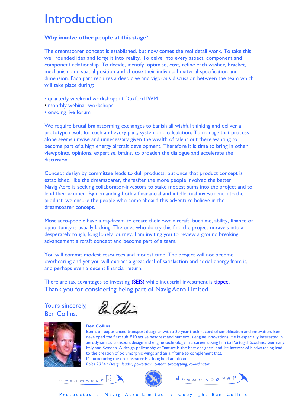# Introduction

#### **Why involve other people at this stage?**

The dreamsoarer concept is established, but now comes the real detail work. To take this well rounded idea and forge it into reality. To delve into every aspect, component and component relationship. To decide, identify, optimise, cost, refine each washer, bracket, mechanism and spatial position and choose their individual material specification and dimension. Each part requires a deep dive and vigorous discussion between the team which will take place during:

- quarterly weekend workshops at Duxford IWM
- monthly webinar workshops
- ongoing live forum

We require brutal brainstorming exchanges to banish all wishful thinking and deliver a prototype result for each and every part, system and calculation. To manage that process alone seems unwise and unnecessary given the wealth of talent out there wanting to become part of a high energy aircraft development. Therefore it is time to bring in other viewpoints, opinions, expertise, brains, to broaden the dialogue and accelerate the discussion.

Concept design by committee leads to dull products, but once that product concept is established, like the dreamsoarer, thereafter the more people involved the better. Navig Aero is seeking collaborator-investors to stake modest sums into the project and to lend their acumen. By demanding both a finanancial and intellectual investment into the product, we ensure the people who come aboard this adventure believe in the dreamsoarer concept.

Most aero-people have a daydream to create their own aircraft. but time, ability, finance or opportunity is usually lacking. The ones who do try this find the project unravels into a desperately tough, long lonely journey. I am inviting you to review a ground breaking advancement aircraft concept and become part of a team.

You will commit modest resources and modest time. The project will not become overbearing and yet you will extract a great deal of satisfaction and social energy from it, and perhaps even a decent financial return.

There are tax advantages to investing [\(SEIS\)](http://www.ukbusinessangelsassociation.org.uk/be-an-angel/forming-own-syndicate) while industrial investment is [tipped.](http://www.bbc.com/capital/story/20131028-what-stocks-to-buy-now) Thank you for considering being part of Navig Aero Limited.

Yours sincerely, Ben Collins.

Re Collin

![](_page_2_Picture_13.jpeg)

#### **Ben Collins**

Ben is an experienced transport designer with a 20 year track record of simplification and innovation. Ben developed the first sub €10 active headrest and numerous engine innovations. He is especially interested in aerodynamics, transport design and engine technology in a career taking him to Portugal, Scotland, Germany, Italy and Sweden. A design philosophy of "nature is the best designer" and life interest of birdwatching lead to the creation of polymorphic wings and an airframe to complement that. Manufacturing the dreamsoarer is a long held ambition. *Roles 2014 : Design leader, powertrain, patent, prototyping, co-ordinator.*

![](_page_2_Picture_17.jpeg)

![](_page_2_Picture_18.jpeg)

![](_page_2_Picture_19.jpeg)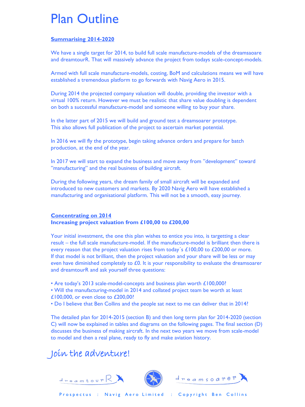# Plan Outline

### **Summarising 2014-2020**

We have a single target for 2014, to build full scale manufacture-models of the dreamsaoare and dreamtourR. That will massively advance the project from todays scale-concept-models.

Armed with full scale manufacture-models, costing, BoM and calculations means we will have established a tremendous platform to go forwards with Navig Aero in 2015.

During 2014 the projected company valuation will double, providing the investor with a virtual 100% return. However we must be realistic that share value doubling is dependent on both a successful manufacture-model and someone willing to buy your share.

In the latter part of 2015 we will build and ground test a dreamsoarer prototype. This also allows full publication of the project to ascertain market potential.

In 2016 we will fly the prototype, begin taking advance orders and prepare for batch production, at the end of the year.

In 2017 we will start to expand the business and move away from "development" toward "manufacturing" and the real business of building aircraft.

During the following years, the dream family of small aircraft will be expanded and introduced to new customers and markets. By 2020 Navig Aero will have established a manufacturing and organisational platform. This will not be a smooth, easy journey.

#### **Concentrating on 2014 Increasing project valuation from £100,00 to £200,00**

Your initial investment, the one this plan wishes to entice you into, is targetting a clear result – the full scale manufacture-model. If the manufacture-model is brilliant then there is every reason that the project valuation rises from today's  $£100,00$  to  $£200,00$  or more. If that model is not brilliant, then the project valuation and your share will be less or may even have diminished completely to  $£0$ . It is your responsibility to evaluate the dreamsoarer and dreamtourR and ask yourself three questions:

• Are today's 2013 scale-model-concepts and business plan worth £100,000?

- Will the manufacturing-model in 2014 and collated project team be worth at least £100,000, or even close to £200,00?
- Do I believe that Ben Collins and the people sat next to me can deliver that in 2014?

The detailed plan for 2014-2015 (section B) and then long term plan for 2014-2020 (section C) will now be explained in tables and diagrams on the following pages. The final section (D) discusses the business of making aircraft. In the next two years we move from scale-model to model and then a real plane, ready to fly and make aviation history.

# Join the adventure!

 $d_{\texttt{mean} \texttt{four}}$ 

![](_page_3_Picture_16.jpeg)

![](_page_3_Picture_17.jpeg)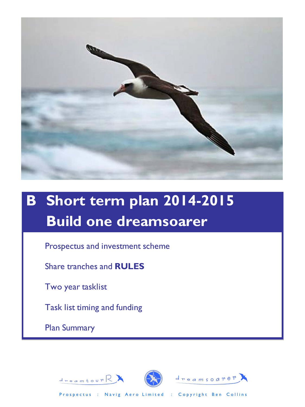![](_page_4_Picture_0.jpeg)

# **B Short term plan 2014-2015 Build one dreamsoarer**

Prospectus and investment scheme

Share tranches and **RULES**

Two year tasklist

Task list timing and funding

 $d_{\texttt{mean}$  tour  $\mathbb{R}$ 

Plan Summary

![](_page_4_Picture_7.jpeg)

![](_page_4_Picture_8.jpeg)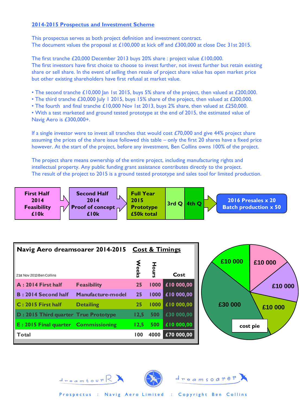#### **2014-2015 Prospectus and Investment Scheme**

This prospectus serves as both project definition and investment contract. The document values the proposal at £100,000 at kick off and £300,000 at close Dec 31st 2015.

The first tranche £20,000 December 2013 buys 20% share : project value £100,000. The first investors have first choice to choose to invest further, not invest further but retain existing share or sell share. In the event of selling then resale of project share value has open market price but other existing shareholders have first refusal at market value.

- The second tranche £10,000 Jan 1st 2015, buys 5% share of the project, then valued at £200,000.
- The third tranche £30,000 July 1 2015, buys 15% share of the project, then valued at £200,000.
- The fourth and final tranche £10,000 Nov 1st 2013, buys 2% share, then valued at £250,000.

• With a test marketed and ground tested prototype at the end of 2015, the estimated value of Navig Aero is £300,000+.

If a single investor were to invest all tranches that would cost £70,000 and give 44% project share assuming the prices of the share issue followed this table – only the first 20 shares have a fixed price however. At the start of the project, before any investment, Ben Collins owns 100% of the project.

The project share means ownership of the entire project, including manufacturing rights and intellectual property. Any public funding grant assistance contributes directly to the project. The result of the project to 2015 is a ground tested prototype and sales tool for limited production.

![](_page_5_Figure_9.jpeg)

| Navig Aero dreamsoarer 2014-2015               |                    | <b>Cost &amp; Timings</b> |      |            |
|------------------------------------------------|--------------------|---------------------------|------|------------|
| 21st Nov 2013 Ben Collins                      |                    | <b>eeks</b>               |      | Cost       |
| $A: 2014$ First half                           | <b>Feasibility</b> | 25                        | 1000 | £10 000,00 |
| B: 2014 Second half                            | Manufacture-model  | 25                        | 1000 | £10 000,00 |
| C: 2015 First half                             | <b>Detailing</b>   | 25                        | 1000 | £10 000,00 |
| D: 2015 Third quarter True Prototype           |                    | 12,5                      | 500  | £30 000,00 |
| $\mathsf{E}: 2015$ Final quarter Commissioning |                    | 12.5                      | 500  | £10 000,00 |
| ll Total                                       |                    | 100                       | 4000 | £70 000,00 |

![](_page_5_Picture_11.jpeg)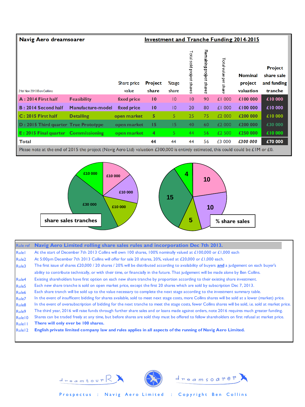#### Navig Aero dreamsoarer **Investment and Tranche Funding 2014-2015** Remaining project shares Total sold project shares Fotal value per share **Project Nominal** share sale Share price Project %tage project and funding 21st Nov 2013 Ben Collins value share share valuation tranche A: 2014 First half **Feasibility** fixed price  $10$  $|0\rangle$  $|0\rangle$ 90 £1 000 €100 000 €10 000 Manufacture-model €100 000 **B: 2014 Second half** fixed price  $10$  $\overline{10}$ 20 80 £1 000 €10 000 €200 000 C: 2015 First half **Detailing** open market 5 5 25 75 £2 000 €10 000 D: 2015 Third quarter True Prototype open market  $15$  $\sqrt{5}$ 40 60 £2 000 €200 000 €30 000 E: 2015 Final quarter Commissioning open market  $\overline{4}$  $5<sub>5</sub>$ 44 56 £2 500 €250 000 €10 000 **Total** 44 44 44 56 £3 000 £300 000 £70 000

Please note at the end of 2015 the project (Navig Aero Ltd) valuation £300,000 is entirely estimated, this could could be £1M or £0.

![](_page_6_Figure_2.jpeg)

| <b>Rule ref</b>    | Navig Aero Limited rolling share sales rules and incorporation Dec 7th 2013.                                                                            |
|--------------------|---------------------------------------------------------------------------------------------------------------------------------------------------------|
| Rulel              | At the start of December 7th 2013 Collins will own 100 shares, 100% nominally valued at £100,000 or £1,000 each                                         |
| Rule <sub>2</sub>  | At 5:00pm December 7th 2013 Collins will offer for sale 20 shares, 20%, valued at £20,000 or £1,000 each.                                               |
| Rule3              | The first issue of shares £20,000 / 20 shares / 20% will be distributed according to availability of buyers and a judgement on each buyer's             |
|                    | ability to contribute technically, or with their time, or financially in the future. That judgement will be made alone by Ben Collins.                  |
| Rule4              | Existing shareholders have first option on each new share tranche by proportion according to their existing share investment.                           |
| Rule <sub>5</sub>  | Each new share tranche is sold on open market price, except the first 20 shares which are sold by subscription Dec 7, 2013.                             |
| Rule <sub>6</sub>  | Each share tranch will be sold up to the value necessary to complete the next stage according to the investment summary table.                          |
| Rule <sub>7</sub>  | In the event of insufficent bidding for shares available, sold to meet next stage costs, more Collins shares will be sold at a lower (market) price.    |
| Rule <sub>8</sub>  | In the event of oversubscription of bidding for the next tranche to meet the stage costs, fewer Collins shares will be sold, i.e. sold at market price. |
| Rule <sub>9</sub>  | The third year, 2016 will raise funds through further share sales and or loans made against orders, note 2016 requires much greater funding.            |
| Rule <sub>10</sub> | Shares can be traded freely at any time, but before shares are sold they must be offered to fellow shareholders on first refusal at market price.       |
| <b>Rulel I</b>     | There will only ever be 100 shares.                                                                                                                     |
| Rule <sub>12</sub> | English private limited company law and rules applies in all aspects of the running of Navig Aero Limited.                                              |

![](_page_6_Picture_4.jpeg)

![](_page_6_Picture_5.jpeg)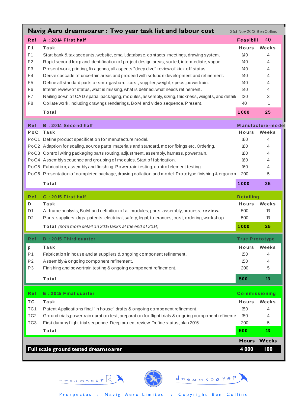|                                  | Navig Aero dreamsoarer: Two year task list and labour cost                                                                                                                        |                       |                   |
|----------------------------------|-----------------------------------------------------------------------------------------------------------------------------------------------------------------------------------|-----------------------|-------------------|
|                                  | 21st Nov 2013 Ben Collins                                                                                                                                                         |                       |                   |
| <b>Ref</b>                       | A: 2014 First half                                                                                                                                                                | Feasibili             | 40                |
| F <sub>1</sub>                   | Task                                                                                                                                                                              | Hours                 | Weeks             |
| F <sub>1</sub>                   | Start bank & tax accounts, website, email, database, contacts, meetings, drawing system.                                                                                          | 140                   | 4                 |
| F <sub>2</sub>                   | Rapid second loop and identification of project design areas; sorted, intermediate, vague.                                                                                        | 140                   | 4                 |
| F <sub>3</sub><br>F4             | Present work, printing, fix agenda, all aspects "deep dive" review of kick off status.<br>Derive cascade of uncertain areas and proceed with solution development and refinement. | 140                   | 4                 |
| F <sub>5</sub>                   | Define all standard parts or smorgasbord : cost, supplier, weight, specs, powertrain.                                                                                             | 140<br>140            | 4<br>4            |
| F <sub>6</sub>                   | Interim review of status, what is missing, what is defined, what needs refinement.                                                                                                | 140                   | 4                 |
| F7                               | Nailing down of CAD spatial packaging, modules, assembly, sizing, thickness, weights, and detail:                                                                                 | 120                   | 3                 |
| F <sub>8</sub>                   | Collate work, including drawings renderings, BoM and video sequence. Present.                                                                                                     | 40                    | 1                 |
|                                  | Total                                                                                                                                                                             | 1000                  | 25                |
|                                  |                                                                                                                                                                                   |                       |                   |
| R ef                             | <b>B:2014 Second half</b>                                                                                                                                                         |                       | Manufacture-model |
| PoC                              | Task                                                                                                                                                                              | Hours                 | Weeks             |
|                                  | PoC1 Define product specification for manufacture model.                                                                                                                          | 160                   | 4                 |
|                                  | PoC2 Adaption for scaling, source parts, materials and standard, motor fixings etc. Ordering.                                                                                     | 160                   | 4                 |
|                                  | PoC3 Control wiring packaging parts routing, adjustment, assembly, harness, powertrain.                                                                                           | 160                   | 4                 |
|                                  | PoC4 Assembly sequence and grouping of modules. Start of fabrication.                                                                                                             | 160                   | 4                 |
|                                  | PoC5 Fabrication, assembly and finishing. Powertrain testing, control element testing.                                                                                            | 160                   | 4                 |
|                                  | PoC6 Presentation of completed package, drawing collation and model. Prototype finishing & ergonon                                                                                | 200                   | 5                 |
|                                  | Total                                                                                                                                                                             | 1000                  | 25                |
|                                  |                                                                                                                                                                                   |                       |                   |
| R ef                             | C: 2015 First half                                                                                                                                                                | <b>Detailing</b>      |                   |
| D                                | Task                                                                                                                                                                              | Hours                 | Weeks             |
| D <sub>1</sub>                   | Airframe analysis, BoM and definition of all modules, parts, assembly, process, review.                                                                                           | 500                   | 13                |
| D <sub>2</sub>                   | Parts, suppliers, drgs, patents, electrical, safety, legal, tolerances, cost, ordering, workshop.                                                                                 | 500                   | 13                |
|                                  | Total (note more detail on 2015 tasks at the end of 2014)                                                                                                                         | 1000                  | 25                |
|                                  |                                                                                                                                                                                   |                       |                   |
| R ef                             | D: 2015 Third quarter                                                                                                                                                             | <b>True Prototype</b> |                   |
| p                                | Task                                                                                                                                                                              | Hours                 | Weeks             |
| P <sub>1</sub><br>P <sub>2</sub> | Fabrication in house and at suppliers & ongoing component refinement.                                                                                                             | 150<br>150            | 4<br>4            |
| P <sub>3</sub>                   | Assembly & ongoing component refinement.<br>Finishing and powertrain testing & ongoing component refinement.                                                                      | 200                   | 5                 |
|                                  | Total                                                                                                                                                                             |                       |                   |
|                                  |                                                                                                                                                                                   | 500                   | 13                |
| <b>Ref</b>                       | E: 2015 Final quarter                                                                                                                                                             | <b>Commissioning</b>  |                   |
| <b>TC</b>                        | Task                                                                                                                                                                              | Hours                 | Weeks             |
| TC <sub>1</sub>                  | Patent Applications final "in house" drafts & ongoing component refinement.                                                                                                       | 150                   | 4                 |
| TC <sub>2</sub>                  | Ground trials, powertrain duration test, preparation for flight trials & ongoing component refineme                                                                               | 150                   | 4                 |
| TC <sub>3</sub>                  | First dummy flight trial sequence. Deep project review. Define status, plan 2016.                                                                                                 | 200                   | 5                 |
|                                  | Total                                                                                                                                                                             | 500                   | 13                |
|                                  |                                                                                                                                                                                   | <b>Hours</b>          | <b>Weeks</b>      |

![](_page_7_Picture_1.jpeg)

 $d$  reamtour  $\mathbb{R}$ 

![](_page_7_Picture_2.jpeg)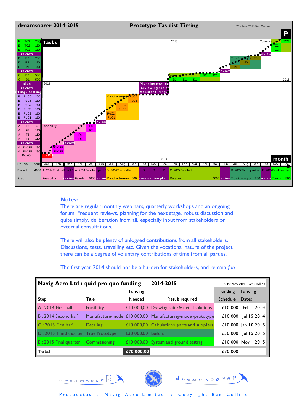![](_page_8_Figure_0.jpeg)

#### **Notes:**

There are regular monthly webinars, quarterly workshops and an ongoing forum. Frequent reviews, planning for the next stage, robust discussion and quite simply, deliberation from all, especially input from stakeholders or external consultations.

There will also be plenty of unlogged contributions from all stakeholders. Discussions, tests, travelling etc. Given the vocational nature of the project there can be a degree of voluntary contributions of time from all parties.

The first year 2014 should not be a burden for stakeholders, and remain *fun.*

| Navig Aero Ltd : quid pro quo funding |                      |                     | 2014-2015                                                 | 21st Nov 2013 Ben Collins |                     |  |
|---------------------------------------|----------------------|---------------------|-----------------------------------------------------------|---------------------------|---------------------|--|
|                                       |                      | Funding             |                                                           | <b>Funding</b>            | <b>Funding</b>      |  |
| Step                                  | Title                | Needed              | Result required                                           | Schedule                  | Dates               |  |
| $A: 2014$ First half                  | Feasibility          |                     | £10 000,00 Drawing suite & detail solutions               | £10000                    | Feb 1 2014          |  |
| $B: 2014$ Second half                 |                      |                     | Manufacture-mode £10 000,00 Manufacturing-model-prototype | £10 000                   | Jul 15 2014         |  |
| $C: 2015$ First half                  | <b>Detailing</b>     |                     | £10 000,00 Calculations, parts and suppliers              |                           | £10 000 Jan 10 2015 |  |
| D: 2015 Third quarter True Prototype  |                      | £30 000,00 Build it |                                                           | £30 000                   | Jul 15 2015         |  |
| $E: 2015$ Final quarter               | <b>Commissioning</b> |                     | £10 000,00 System and ground testing                      |                           | £10,000 Nov 1,2015  |  |
| Total                                 |                      | £70 000,00          |                                                           | £70 000                   |                     |  |

![](_page_8_Picture_6.jpeg)

![](_page_8_Picture_7.jpeg)

![](_page_8_Picture_8.jpeg)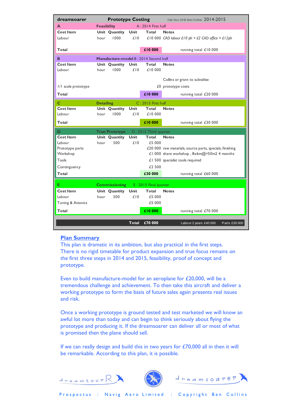| dreamsoarer                                | <b>Prototype Costing</b>                   |                       |       |                       | 21st Nov 2013 Ben Collins 2014-2015                      |  |  |  |  |
|--------------------------------------------|--------------------------------------------|-----------------------|-------|-----------------------|----------------------------------------------------------|--|--|--|--|
| A                                          | $A: 2014$ First half<br><b>Feasibility</b> |                       |       |                       |                                                          |  |  |  |  |
| Cost Item                                  |                                            | Unit Quantity         | Unit  | Total                 | <b>Notes</b>                                             |  |  |  |  |
| Labour                                     | hour                                       | 1000                  | £10   |                       | £10 000 CAD labour £10 ph + £2 CAD office = £12ph        |  |  |  |  |
|                                            |                                            |                       |       |                       |                                                          |  |  |  |  |
| Total                                      |                                            |                       |       | £10000                | running total £10 000                                    |  |  |  |  |
| в<br>Manufacture-model B: 2014 Second half |                                            |                       |       |                       |                                                          |  |  |  |  |
| <b>Cost Item</b>                           |                                            | Unit Quantity         | Unit  | Total                 | <b>Notes</b>                                             |  |  |  |  |
| Labour                                     | hour                                       | 1000                  | £10   | £10 000               |                                                          |  |  |  |  |
|                                            |                                            |                       |       |                       | Collins or grant to subsidise                            |  |  |  |  |
| I/I scale prototype                        |                                            |                       |       |                       | £0 prototype costs                                       |  |  |  |  |
|                                            |                                            |                       |       |                       |                                                          |  |  |  |  |
| Total                                      |                                            |                       |       | £10 000               | running total £20 000                                    |  |  |  |  |
| C                                          | <b>Detailing</b>                           |                       |       | C: 2015 First half    |                                                          |  |  |  |  |
| Cost Item                                  |                                            | Unit Quantity         | Unit  | Total                 | <b>Notes</b>                                             |  |  |  |  |
| Labour                                     | hour                                       | 1000                  | £10   | £10000                |                                                          |  |  |  |  |
| Total                                      |                                            |                       |       | £10 000               | running total £30 000                                    |  |  |  |  |
| D                                          |                                            | <b>True Prototype</b> |       | D: 2015 Third quarter |                                                          |  |  |  |  |
| <b>Cost Item</b>                           |                                            | Unit Quantity         | Unit  | Total                 | <b>Notes</b>                                             |  |  |  |  |
| Labour                                     | hour                                       | 500                   | f10   | £5 000                |                                                          |  |  |  |  |
| Prototype parts                            |                                            |                       |       |                       | £20 000 raw materials, source parts, specials, finishing |  |  |  |  |
| Workshop                                   |                                            |                       |       |                       | £1 000 share workshop, $8x6m@=50m2$ 4 months             |  |  |  |  |
| Tools                                      |                                            |                       |       |                       | $£1$ 500 specialist tools required                       |  |  |  |  |
| Continguency                               |                                            |                       |       | f2500                 |                                                          |  |  |  |  |
| Total                                      |                                            |                       |       | £30 000               | running total £60 000                                    |  |  |  |  |
| Е                                          |                                            | <b>Commissioning</b>  |       | E: 2015 Final quarter |                                                          |  |  |  |  |
| Cost Item                                  |                                            | Unit Quantity         | Unit  | Total                 | <b>Notes</b>                                             |  |  |  |  |
| Labour                                     | hour                                       | 500                   | £10   | £5 000                |                                                          |  |  |  |  |
| Tuning & Avionics                          |                                            |                       |       | £5 000                |                                                          |  |  |  |  |
| Total                                      |                                            |                       |       | £10 000               | running total £70 000                                    |  |  |  |  |
|                                            |                                            |                       |       |                       |                                                          |  |  |  |  |
|                                            |                                            |                       | Total | £70 000               | Parts £30 000<br>Labour 2 years £40 000                  |  |  |  |  |

#### **Plan Summary**

This plan is dramatic in its ambition, but also practical in the first steps. There is no rigid timetable for product expansion and true focus remains on the first three steps in 2014 and 2015, feasibility, proof of concept and prototype.

Even to build manufacture-model for an aeroplane for £20,000, will be a tremendous challenge and achievement. To then take this aircraft and deliver a working prototype to form the basis of future sales again presents real issues and risk.

Once a working prototype is ground tested and test marketed we will know an awful lot more than today and can begin to think seriously about flying the prototype and producing it. If the dreamsoarer can deliver all or most of what is promised then the plane should sell.

If we can really design and build this in two years for  $£70,000$  all in then it will be remarkable. According to this plan, it is possible.

![](_page_9_Picture_6.jpeg)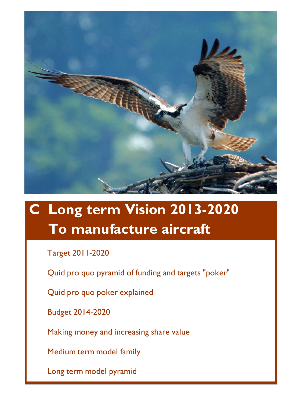![](_page_10_Picture_0.jpeg)

# **C Long term Vision 2013-2020 To manufacture aircraft**

Target 2011-2020

Quid pro quo pyramid of funding and targets "poker"

Quid pro quo poker explained

Budget 2014-2020

Making money and increasing share value

Medium term model family

Long term model pyramid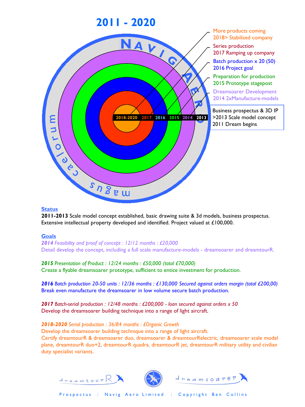![](_page_11_Figure_0.jpeg)

**2011-2013** Scale model concept established, basic drawing suite & 3d models, business prospectus. Extensive intellectual property developed and identified. Project valued at £100,000.

### **Goals**

*2014 Feasibility and proof of concept : 12/12 months : £20,000* Detail develop the concept, including a full scale manufacture-models - dreamsoarer and dreamtourR.

*2015 Presentation of Product : 12/24 months : £50,000 (total £70,000)* Create a flyable dreamsoarer prototype, sufficient to entice investment for production.

*2016 Batch production 20-50 units : 12/36 months : £130,000 Secured against orders margin (total £200,00)* Break even manufacture the dreamsoarer in low volume secure batch production.

*2017 Batch-serial production : 12/48 months : £200,000 - loan secured against orders x 50* Develop the dreamsoarer building technique into a range of light aircraft.

*2018-2020 Serial production : 36/84 months : £Organic Growth* Develop the dreamsoarer building technique into a range of light aircraft. Certify dreamtourR & dreamsoarer duo, dreamsoarer & dreamtourRelectric, dreamsoarer scale model plane, dreamtourR duo+2, dreamtourR quadra, dreamtourR jet, dreamtourR military utility and civilian duty specialist variants.

![](_page_11_Picture_9.jpeg)

 $d_{\texttt{mean} \texttt{four}}$ 

![](_page_11_Picture_10.jpeg)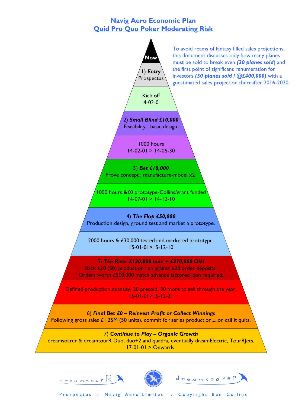### **Navig Aero Economic Plan Quid Pro Quo Poker Moderating Risk**

![](_page_12_Figure_1.jpeg)

![](_page_12_Picture_2.jpeg)

![](_page_12_Picture_3.jpeg)

![](_page_12_Picture_4.jpeg)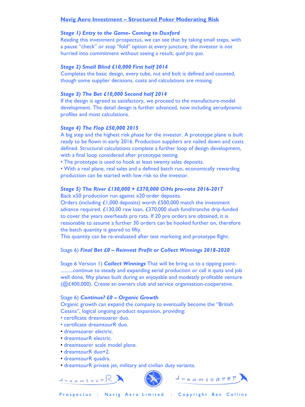#### **Navig Aero Investment – Structured Poker Moderating Risk**

#### *Stage 1) Entry to the Game- Coming to Duxford*

Reading this investment prospectus, we can see that by taking small steps, with a pause "check" or stop "fold" option at every juncture, the investor is not hurried into commitment without seeing a result, *quid pro quo.*

#### *Stage 2) Small Blind £10,000 First half 2014*

Completes the basic design, every tube, nut and bolt is defined and counted, though some supplier decisions, costs and calculations are missing.

#### *Stage 3) The Bet £10,000 Second half 2014*

If the design is agreed as satisfactory, we proceed to the manufacture-model development. The detail design is further advanced, now including aerodynamic profiles and most calculations.

#### *Stage 4) The Flop £50,000 2015*

A big step and the highest risk phase for the investor. A prototype plane is built ready to be flown in early 2016. Production suppliers are nailed down and costs defined. Structural calculations complete a further loop of design development, with a final loop considered after prototype testing.

• The prototype is used to hook at least twenty sales deposits.

• With a real plane, real sales and a defined batch run, economically rewarding production can be started with low risk to the investor.

#### *Stage 5) The River £130,000 + £370,000 O/Hs pro-rata 2016-2017*

Back x50 production run against x20 order deposits.

Orders (including £1,000 deposits) worth £500,000 match the investment advance required. £130,00 raw loan, £370,000 slush fund/tranche drip-funded to cover the years overheads pro rata. If 20 pre orders are obtained, it is reasonable to assume a further 30 orders can be hooked further on, therefore the batch quantity is geared to fifty.

This quantity can be re-evaluated after test markeing and prototype flight.

#### Stage 6) *Final Bet £0 – Reinvest Profit or Collect Winnings 2018-2020*

Stage 6 Version 1) *Collect Winnings* That will be bring us to a tipping point- ..........continue to steady and expanding serial production or call it quits and job well done, fifty planes built during an enjoyable and modestly profitable venture (@£400,000). Create an owners club and service organisation-cooperative.

#### Stage 6) *Continue? £0 – Organic Growth*

Organic growth can expand the company to eventually become the "British Cessna", logical ongoing product expansion, providing:

- certificate dreamsoarer duo.
- certificate dreamtourR duo.
- dreamsoarer electric.
- dreamtourR electric.
- dreamsoarer scale model plane.
- dreamtourR duo+2.
- dreamtourR quadra.

 $d_{\texttt{mean} \texttt{four}}$ 

• dreamtourR private jet, military and civilian duty variants.

![](_page_13_Picture_27.jpeg)

![](_page_13_Picture_28.jpeg)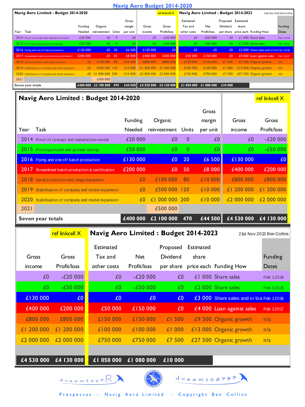| <b>Navig Aero Budget 2014-2020</b>                                                              |                                      |                                           |                       |                        |                                                    |                        |                                  |                                          |                                         |                        |
|-------------------------------------------------------------------------------------------------|--------------------------------------|-------------------------------------------|-----------------------|------------------------|----------------------------------------------------|------------------------|----------------------------------|------------------------------------------|-----------------------------------------|------------------------|
| Navig Aero Limited: Budget 2014-2020                                                            |                                      | ref linkcell X                            |                       |                        | Navig Aero Limited: Budget 2014-2023               |                        |                                  |                                          |                                         |                        |
|                                                                                                 |                                      | Gross                                     |                       |                        | Estimated                                          |                        | Proposed Estimated               |                                          |                                         |                        |
| Funding                                                                                         | Organic                              | margin                                    | Gross                 | Gross                  | Tax and                                            | Net                    | Dividend                         | share                                    |                                         | <b>Funding</b>         |
| Year Task<br>Needed                                                                             | reinvestment Units                   | per unit                                  | income                | Profit/loss            | other costs                                        | Profit/loss            | per share price each Funding How |                                          |                                         | Dates                  |
| 2014 Proof of concept and manufacture-model                                                     | £20 000<br>£0<br>£50 000<br>£0       | $\mathbf 0$<br>£0<br>$\overline{0}$<br>£0 | £0<br>£0              | $-E20000$<br>$-£50000$ | £0<br>£0                                           | $-£20000$<br>$-£50000$ | £0<br>£0                         | £1 000 Share sales<br>£2 000 Share sales |                                         | Feb 12014<br>Feb 12015 |
| 2015 Prototype build and ground testing<br>£130 000<br>2016 Flying and one off batch production | $£0$ 20                              | £6 500                                    | £130 000              | £0                     | £0                                                 | £0                     | £0                               |                                          | £3 000 Share sales and or loa Feb 12016 |                        |
| £200 000<br>2017 Streamlined batch production & certification                                   | £0 50                                | £8 000                                    | £400 000              | £200 000               | £50 000                                            | £150 000               | £0                               |                                          | £4 000 Loan against sales               | Feb 12017              |
| 2018 Serial production and range expansion                                                      | £100 000<br>£0                       | 80<br>£10 000                             | £800 000              | £800 000               | £150 000                                           | £150 000               | £1 500                           | £9 500 Organic growth                    |                                         | n/a                    |
| 2019 Stabilisation of company and model expansion                                               | £500 000 120<br>£0                   | £10 000                                   | £1 200 000 £1 200 000 |                        | £100 000                                           | £100 000               | £1000                            | £13 000 Organic growth                   |                                         | n/a                    |
| 2020 Stabilisation of company and model expansion                                               | £0 £1 000 000                        | 200<br>£10 000                            | £2 000 000            | £2 000 000             | £750 000                                           | £750 000               | £7 500                           | £27 500 Organic growth                   |                                         | n/a                    |
| 2021                                                                                            | £500 000                             |                                           | £4 530 000 £4 130 000 |                        |                                                    |                        | £10 000                          |                                          |                                         |                        |
| Seven year totals                                                                               | £400 000 £2 100 000 470              | £44 500                                   |                       |                        | £1 050 000 £1 080 000                              |                        |                                  |                                          |                                         |                        |
| Navig Aero Limited: Budget 2014-2020<br>ref linkcell X                                          |                                      |                                           |                       |                        |                                                    |                        |                                  |                                          |                                         |                        |
|                                                                                                 |                                      |                                           |                       |                        |                                                    | Gross                  |                                  |                                          |                                         |                        |
|                                                                                                 |                                      |                                           | Funding<br>Organic    |                        |                                                    | margin                 |                                  | Gross<br>Gross                           |                                         |                        |
| Task<br>Year                                                                                    |                                      | Needed                                    |                       | reinvestment           | Units                                              | per unit               |                                  | income                                   | Profit/loss                             |                        |
| 2014 Proof of concept and manufacture-model                                                     |                                      | £20 000                                   |                       | £0                     | 0                                                  | £0                     |                                  | £0                                       | $-£20000$                               |                        |
| 2015 Prototype build and ground testing                                                         |                                      | £50 000                                   |                       | £0                     | 0                                                  | £0.                    |                                  | £0                                       | $-£50000$                               |                        |
| 2016 Flying and one off batch production                                                        |                                      | £130 000                                  |                       | £0                     | 20                                                 | £6 500                 |                                  | £130 000                                 |                                         | £0                     |
| 2017 Streamlined batch production & certification                                               |                                      | £200 000                                  |                       | £0                     | 50                                                 | £8 000                 |                                  | £400 000                                 | £200 000                                |                        |
| 2018 Serial production and range expansion                                                      |                                      |                                           | £0                    | £100 000               | 80                                                 | £10 000                |                                  | £800 000                                 | £800 000                                |                        |
| 2019<br>Stabilisation of company and model expansion                                            |                                      |                                           | £0                    | £500 000               | 120                                                | £10 000                |                                  | £1 200 000                               | £1 200 000                              |                        |
| 2020 Stabilisation of company and model expansion                                               |                                      |                                           | £0                    | £1 000 000             | 200                                                | £10000                 |                                  | £2 000 000                               | £2 000 000                              |                        |
| 2021                                                                                            |                                      |                                           |                       | £500 000               |                                                    |                        |                                  |                                          |                                         |                        |
| Seven year totals                                                                               |                                      | £400 000                                  |                       | £2 100 000             | 470                                                | £44 500                |                                  | £4 530 000                               | £4 130 000                              |                        |
| ref linkcell X                                                                                  | Navig Aero Limited: Budget 2014-2023 |                                           |                       |                        |                                                    |                        |                                  |                                          | 21st Nov 2013 Ben Collins               |                        |
|                                                                                                 | Estimated                            |                                           |                       | Proposed               | Estimated                                          |                        |                                  |                                          |                                         |                        |
| Gross<br>Gross                                                                                  | Tax and                              |                                           | Net<br>Dividend       |                        | share                                              |                        |                                  |                                          | <b>Funding</b>                          |                        |
|                                                                                                 |                                      |                                           |                       |                        |                                                    |                        |                                  |                                          |                                         |                        |
| Profit/loss<br>income                                                                           | other costs                          |                                           | Profit/loss           |                        | per share price each Funding How                   |                        |                                  |                                          | Dates                                   |                        |
| $-£20000$<br>£0                                                                                 |                                      | £0                                        | $-£20000$             |                        | £0                                                 |                        | £1 000 Share sales               |                                          | Feb 12014                               |                        |
| £0<br>$-£50000$                                                                                 |                                      | £0                                        | $-£50000$             |                        | £0                                                 |                        | £2 000 Share sales               |                                          | Feb 12015                               |                        |
| £130 000<br>£0                                                                                  |                                      | £0                                        | £0                    |                        | £0                                                 |                        |                                  |                                          | £3 000 Share sales and or loa Feb 12016 |                        |
| £400 000<br>£200 000                                                                            | £50 000                              |                                           | £150 000              |                        | £0                                                 |                        | £4 000 Loan against sales        |                                          | Feb 12017                               |                        |
| £800 000<br>£800 000                                                                            | £150 000                             |                                           | £150 000              | £1 500                 |                                                    |                        | £9 500 Organic growth            |                                          | n/a                                     |                        |
| £1 200 000<br>£1 200 000                                                                        | £100 000                             |                                           | £100 000              | £1 000                 |                                                    |                        | £13 000 Organic growth           |                                          | n/a                                     |                        |
| £2 000 000<br>£2 000 000                                                                        | £750 000                             |                                           | £750 000              | £7 500                 |                                                    |                        | £27 500 Organic growth           |                                          | n/a                                     |                        |
|                                                                                                 |                                      |                                           |                       |                        |                                                    |                        |                                  |                                          |                                         |                        |
| £4 530 000<br>£4 130 000                                                                        | £1 050 000                           |                                           | £1 080 000            | £10 000                |                                                    |                        |                                  |                                          |                                         |                        |
|                                                                                                 | $d_{\text{mean}}$                    |                                           |                       |                        | $d$ $re$ $a$ $m$ $s$ $o$ $a$ $r$ $e$ $r$ $\lambda$ |                        |                                  |                                          |                                         |                        |

![](_page_14_Picture_1.jpeg)

![](_page_14_Picture_2.jpeg)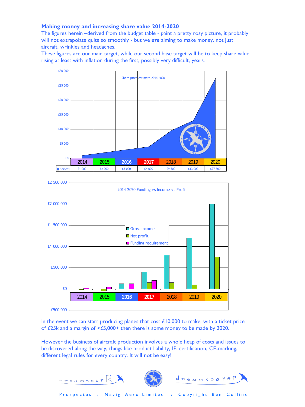#### **Making money and increasing share value 2014-2020**

The figures herein –derived from the budget table - paint a pretty rosy picture, it probably will not extrapolate quite so smoothly - but we *are* aiming to make money, not just aircraft, wrinkles and headaches.

These figures are our main target, while our second base target will be to keep share value rising at least with inflation during the first, possibly very difficult, years.

![](_page_15_Figure_3.jpeg)

![](_page_15_Figure_4.jpeg)

In the event we can start producing planes that cost  $£10,000$  to make, with a ticket price of £25k and a margin of >£5,000+ then there is some money to be made by 2020.

However the business of aircraft production involves a whole heap of costs and issues to be discovered along the way, things like product liability, IP, certification, CE-marking, different legal rules for every country. It will not be easy!

![](_page_15_Picture_7.jpeg)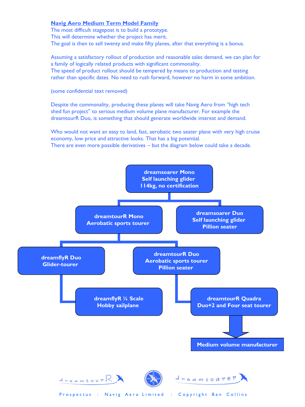#### **Navig Aero Medium Term Model Family**

The most difficult stagepost is to build a prototype. This will determine whether the project has merit. The goal is then to sell twenty and make fifty planes, after that everything is a bonus.

Assuming a satisfactory rollout of production and reasonable sales demand, we can plan for a family of logically related products with significant commonality. The speed of product rollout should be tempered by means to production and testing rather than specific dates. No need to rush forward, however no harm in some ambition.

(some confidential text removed)

Despite the commonality, producing these planes will take Navig Aero from "high tech shed fun project" to serious medium volume plane manufacturer. For example the dreamtourR Duo, is something that should generate worldwide interest and demand.

Who would not want an easy to land, fast, aerobatic two seater plane with very high cruise economy, low price and attractive looks. That has a big potential. There are even more possible derivatives – but the diagram below could take a decade.

![](_page_16_Figure_6.jpeg)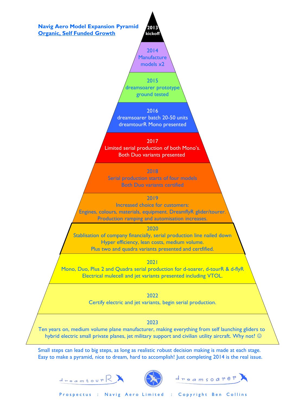![](_page_17_Figure_0.jpeg)

![](_page_17_Picture_2.jpeg)

![](_page_17_Picture_3.jpeg)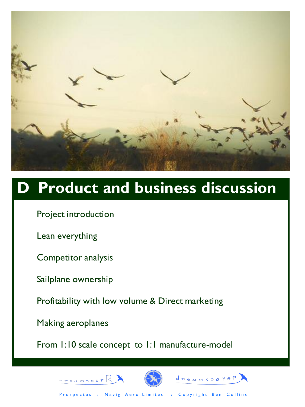![](_page_18_Picture_0.jpeg)

# **D Product and business discussion**

Project introduction

Lean everything

Competitor analysis

Sailplane ownership

Profitability with low volume & Direct marketing

Making aeroplanes

 $d_{\texttt{mean} \texttt{four}}$ 

From 1:10 scale concept to 1:1 manufacture-model

![](_page_18_Picture_9.jpeg)

![](_page_18_Picture_10.jpeg)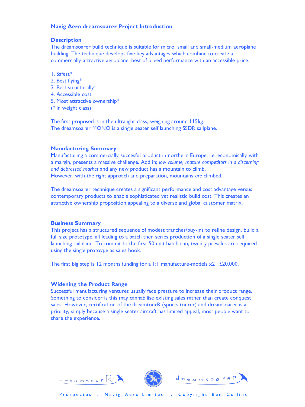#### **Navig Aero dreamsoarer Project Introduction**

#### **Description**

The dreamsoarer build technique is suitable for micro, small and small-medium aeroplane building. The technique develops five key advantages which combine to create a commercially attractive aeroplane; best of breed performance with an accessible price.

- 1. Safest\*
- 2. Best flying\*
- 3. Best structurally\*
- 4. Accessible cost
- 5. Most attractive ownership\*
- (\* in weight class)

The first proposed is in the ultralight class, weighing around 115kg. The dreamsoarer MONO is a single seater self launching SSDR sailplane.

#### **Manufacturing Summary**

Manufacturing a commercially succesful product in northern Europe, i.e. economically with a margin, presents a massive challenge. Add in; *low volume, mature competitors in a discerning and depressed market* and any new product has a mountain to climb. However, with the right approach and preparation, mountains *are* climbed.

The dreamsoarer technique creates a significant performance and cost advantage versus contemporary products to enable sophisticated yet realistic build cost. This creates an attractive ownership proposition appealing to a diverse and global customer matrix.

#### **Business Summary**

This project has a structured sequence of modest tranches/buy-ins to refine design, build a full size prototype, all leading to a batch then series production of a single seater self launching sailplane. To commit to the first 50 unit batch run, twenty presales are required using the single protoype as sales hook.

The first big step is 12 months funding for a 1:1 manufacture-models  $x^2$ : £20,000.

#### **Widening the Product Range**

Successful manufacturing ventures usually face pressure to increase their product range. Something to consider is this may cannabilise existing sales rather than create conquest sales. However, certification of the dreamtourR (sports tourer) and dreamsoarer is a priority, simply because a single seater aircraft has limited appeal, most people want to share the experience.

![](_page_19_Picture_18.jpeg)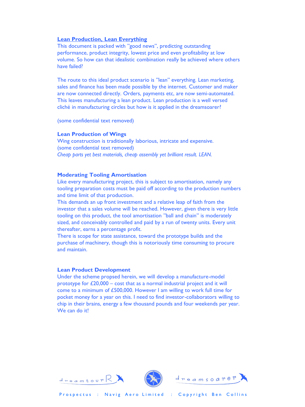#### **Lean Production, Lean Everything**

This document is packed with "good news", predicting outstanding performance, product integrity, lowest price and even profitability at low volume. So how can that idealistic combination really be achieved where others have failed?

The route to this ideal product scenario is "lean" everything. Lean marketing, sales and finance has been made possible by the internet. Customer and maker are now connected directly. Orders, payments etc, are now semi-automated. This leaves manufacturing a lean product. Lean production is a well versed cliché in manufacturing circles but how is it applied in the dreamsoarer?

(some confidential text removed)

#### **Lean Production of Wings**

Wing construction is traditionally laborious, intricate and expensive. (some confidential text removed) *Cheap parts yet best materials, cheap assembly yet brilliant result. LEAN.*

#### **Moderating Tooling Amortisation**

Like every manufacturing project, this is subject to amortisation, namely any tooling preparation costs must be paid off according to the production numbers and time limit of that production.

This demands an up front investment and a relative leap of faith from the investor that a sales volume will be reached. However, given there is very little tooling on this product, the tool amortisation "ball and chain" is moderately sized, and conceivably controlled and paid by a run of twenty units. Every unit thereafter, earns a percentage profit.

There is scope for state assistance, toward the prototype builds and the purchase of machinery, though this is notoriously time consuming to procure and maintain.

#### **Lean Product Development**

Under the scheme propsed herein, we will develop a manufacture-model prototype for £20,000 – cost that as a normal industrial project and it will come to a minimum of £500,000. However I am willing to work full time for pocket money for a year on this. I need to find investor-collaborators willing to chip in their brains, energy a few thousand pounds and four weekends per year. We can do it!

![](_page_20_Picture_12.jpeg)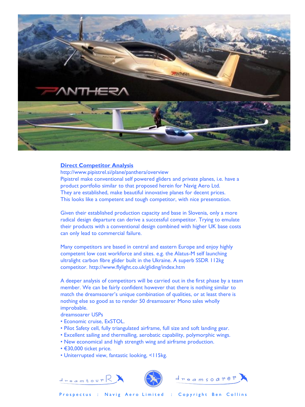![](_page_21_Picture_0.jpeg)

#### **Direct Competitor Analysis**

http://www.pipistrel.si/plane/panthera/overview Pipistrel make conventional self powered gliders and private planes, i.e. have a product portfolio similar to that proposed herein for Navig Aero Ltd. They are established, make beautiful innovative planes for decent prices. This looks like a competent and tough competitor, with nice presentation.

Given their established production capacity and base in Slovenia, only a more radical design departure can derive a successful competitor. Trying to emulate their products with a conventional design combined with higher UK base costs can only lead to commercial failure.

Many competitors are based in central and eastern Europe and enjoy highly competent low cost workforce and sites. e.g. the Alatus-M self launching ultralight carbon fibre glider built in the Ukraine. A superb SSDR 112kg competitor. http://www.flylight.co.uk/gliding/index.htm

A deeper analysis of competitors will be carried out in the first phase by a team member. We can be fairly confident however that there is nothing similar to match the dreamsoarer's unique combination of qualities, or at least there is nothing else so good as to render 50 dreamsoarer Mono sales wholly improbable.

dreamsoarer USPs

- Economic cruise, ExSTOL.
- Pilot Safety cell, fully triangulated airframe, full size and soft landing gear.
- Excellent sailing and thermalling, aerobatic capability, polymorphic wings.
- New economical and high strength wing and airframe production.
- €30,000 ticket price.

 $d_{\texttt{mean} \texttt{four}}$ 

• Uniterrupted view, fantastic looking, <115kg.

![](_page_21_Picture_13.jpeg)

![](_page_21_Picture_14.jpeg)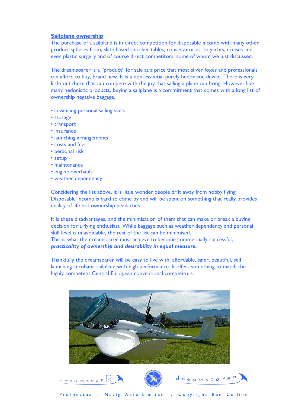#### **Sailplane ownership**

The purchase of a sailplane is in direct competition for disposable income with many other product spheres from; slate based snooker tables, conservatories, to yachts, cruises and even plastic surgery and of course direct competitors, some of whom we just discussed.

The dreamsoarer is a "product" for sale at a price that most silver foxes and professionals can afford to buy, brand new. It is a non-essential purely hedonistic device. There is very little out there that can compete with the joy that sailing a plane can bring. However like many hedonistic products, buying a sailplane is a commitment that comes with a long list of ownership negative baggage.

- advancing personal sailing skills
- storage
- transport
- insurance
- launching arrangements
- costs and fees
- personal risk
- setup
- maintenance
- engine overhauls
- weather dependency

Considering the list above, it is little wonder people drift away from hobby flying. Disposable income is hard to come by and will be spent on something that really provides quality of life not ownership headaches.

It is these disadvantages, and the minimisation of them that can make or break a buying decision for a flying enthusiast. While baggage such as weather dependency and personal skill level is unavoidable, the rest of the list can be minimised. This is what the dreamsoarer must achieve to become commercially successful, *practicality of ownership and desirability in equal measure.* 

Thankfully the dreamsoarer will be easy to live with; affordable, safer, beautiful, self launching aerobatic sailplane with high performance. It offers something to match the highly competent Central European conventional competitors.

![](_page_22_Picture_17.jpeg)

![](_page_22_Picture_18.jpeg)

![](_page_22_Picture_19.jpeg)

![](_page_22_Picture_20.jpeg)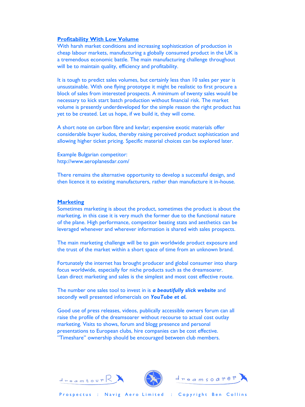#### **Profitability With Low Volume**

With harsh market conditions and increasing sophistication of production in cheap labour markets, manufacturing a globally consumed product in the UK is a tremendous economic battle. The main manufacturing challenge throughout will be to maintain quality, efficiency and profitability.

It is tough to predict sales volumes, but certainly less than 10 sales per year is unsustainable. With one flying prototype it might be realistic to first procure a block of sales from interested prospects. A minimum of twenty sales would be necessary to kick start batch production without financial risk. The market volume is presently underdeveloped for the simple reason the right product has yet to be created. Let us hope, if we build it, they will come.

A short note on carbon fibre and kevlar; expensive exotic materials offer considerable buyer kudos, thereby raising perceived product sophistication and allowing higher ticket pricing. Specific material choices can be explored later.

Example Bulgarian competitor: http://www.aeroplanesdar.com/

 $d_{\texttt{reambour}}$  $\mathbb{R}$ 

There remains the alternative opportunity to develop a successful design, and then licence it to existing manufacturers, rather than manufacture it in-house.

#### **Marketing**

Sometimes marketing is about the product, sometimes the product is about the marketing, in this case it is very much the former due to the functional nature of the plane. High performance, competitor beating stats and aesthetics can be leveraged whenever and wherever information is shared with sales prospects.

The main marketing challenge will be to gain worldwide product exposure and the trust of the market within a short space of time from an unknown brand.

Fortunately the internet has brought producer and global consumer into sharp focus worldwide, especially for niche products such as the dreamsoarer. Lean direct marketing and sales is the simplest and most cost effective route.

The number one sales tool to invest in is *a beautifully slick website* and secondly well presented infomercials on *YouTube et al.*

Good use of press releases, videos, publically accessible owners forum can all raise the profile of the dreamsoarer without recourse to actual cost outlay marketing. Visits to shows, forum and blogg presence and personal presentations to European clubs, hire companies can be cost effective. "Timeshare" ownership should be encouraged between club members.

![](_page_23_Picture_12.jpeg)

![](_page_23_Picture_13.jpeg)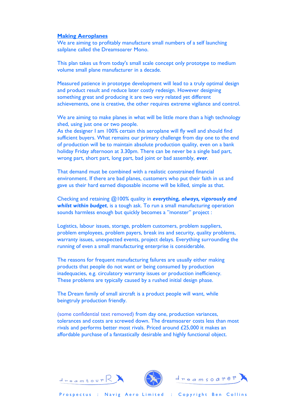#### **Making Aeroplanes**

We are aiming to profitably manufacture small numbers of a self launching sailplane called the Dreamsoarer Mono.

This plan takes us from today's small scale concept only prototype to medium volume small plane manufacturer in a decade.

Measured patience in prototype development will lead to a truly optimal design and product result and reduce later costly redesign. However designing something great and producing it are two very related yet different achievements, one is creative, the other requires extreme vigilance and control.

We are aiming to make planes in what will be little more than a high technology shed, using just one or two people.

As the designer I am 100% certain this aeroplane will fly well and should find sufficient buyers. What remains our primary challenge from day one to the end of production will be to maintain absolute production quality, even on a bank holiday Friday afternoon at 3.30pm. There can be never be a single bad part, wrong part, short part, long part, bad joint or bad assembly, *ever*.

That demand must be combined with a realistic constrained financial environment. If there are bad planes, customers who put their faith in us and gave us their hard earned disposable income will be killed, simple as that.

Checking and retaining @100% quality in *everything, always, vigorously and whilst within budget*, is a tough ask. To run a small manufacturing operation sounds harmless enough but quickly becomes a "monster" project :

Logistics, labour issues, storage, problem customers, problem suppliers, problem employees, problem payers, break ins and security, quality problems, warranty issues, unexpected events, project delays. Everything surrounding the running of even a small manufacturing enterprise is considerable.

The reasons for frequent manufacturing failures are usually either making products that people do not want or being consumed by production inadequacies, e.g. circulatory warranty issues or production inefficiency. These problems are typically caused by a rushed initial design phase.

The Dream family of small aircraft is a product people will want, while beingtruly production friendly.

(some confidential text removed) from day one, production variances, tolerances and costs are screwed down. The dreamsoarer costs less than most rivals and performs better most rivals. Priced around £25,000 it makes an affordable purchase of a fantastically desirable and highly functional object.

![](_page_24_Picture_12.jpeg)

 $d_{\texttt{mean} \texttt{four}}$ 

![](_page_24_Picture_13.jpeg)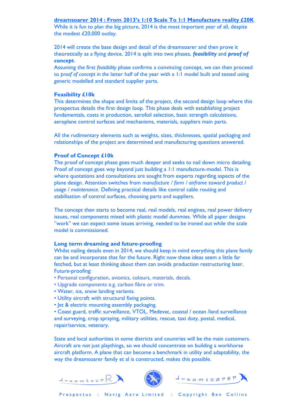#### **dreamsoarer 2014 : From 2013's 1:10 Scale To 1:1 Manufacture reality £20K**

While it is fun to plan the big picture, 2014 is the most important year of all, despite the modest £20,000 outlay.

2014 will create the base design and detail of the dreamsoarer and then prove it theoretically as a flying device. 2014 is split into two phases, *feasibility* and *proof of concept*.

Assuming the first *feasibility* phase confirms a convincing concept, we can then proceed to *proof of concept in the* latter half of the year with a 1:1 model built and tested using generic modelled and standard supplier parts.

#### **Feasibility £10k**

This determines the shape and limits of the project, the second design loop where this prospectus details the first design loop. This phase deals with establishing project fundamentals, costs in production, aerofoil selection, basic strength calculations, aeroplane control surfaces and mechanisms, materials, suppliers main parts.

All the rudimentary elements such as weights, sizes, thicknesses, spatial packaging and relationships of the project are determined and manufacturing questions answered.

#### **Proof of Concept £10k**

The proof of concept phase goes much deeper and seeks to nail down micro detailing. Proof of concept goes way beyond just building a 1:1 manufacture-model. This is where quotations and consultations are sought from experts regarding aspects of the plane design. Attention switches from *manufacture / form / airframe* toward *product / usage / maintenance*. Defining practical details like control cable routing and stabilisation of control surfaces, choosing parts and suppliers.

The concept then starts to become real, real models, real engines, real power delivery issues, real components mixed with plastic model dummies. While all paper designs "work" we can expect some issues arriving, needed to be ironed out while the scale model is commissioned.

#### **Long term dreaming and future-proofing**

Whilst nailing details even in 2014, we should keep in mind everything this plane family can be and incorporate that for the future. Right now these ideas seem a little far fetched, but at least thinking about them can avoids production restructuring later. Future-proofing:

- Personal configuration, avionics, colours, materials, decals.
- Upgrade components e.g. carbon fibre or trim.
- Water, ice, snow landing variants.
- Utility aircraft with structural fixing points.
- Jet & electric mounting assembly packaging.

• Coast guard, traffic surveillance, VTOL, Medevac, coastal / ocean /land surveillance and surveying, crop spraying, military utilities, rescue, taxi duty, postal, medical, repair/service, vetenary.

State and local authorities in some districts and countries will be the main customers. Aircraft are not just playthings, so we should concentrate on building a workhorse aircraft platform. A plane that can become a benchmark in utility and adaptability, the way the dreamsoarer family et al is constructed, makes this possible.

![](_page_25_Picture_19.jpeg)

![](_page_25_Picture_20.jpeg)

![](_page_25_Picture_21.jpeg)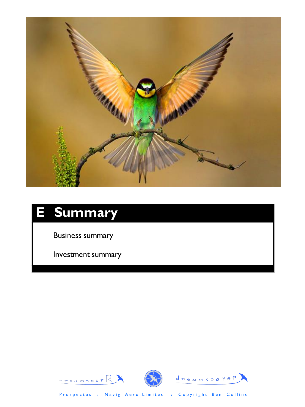![](_page_26_Picture_0.jpeg)

# **E Summary**

Business summary

Investment summary

![](_page_26_Picture_4.jpeg)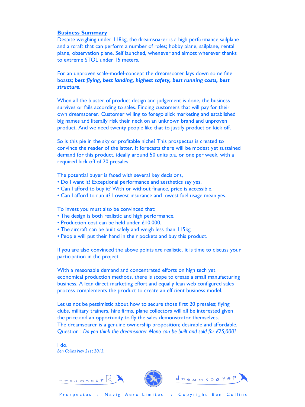#### **Business Summary**

Despite weighing under 118kg, the dreamsoarer is a high performance sailplane and aircraft that can perform a number of roles; hobby plane, sailplane, rental plane, observation plane. Self launched, whenever and almost wherever thanks to extreme STOL under 15 meters.

For an unproven scale-model-concept the dreamsoarer lays down some fine boasts; *best flying, best landing, highest safety, best running costs, best structure.*

When all the bluster of product design and judgement is done, the business survives or fails according to sales. Finding customers that will pay for their own dreamsoarer. Customer willing to forego slick marketing and established big names and literally risk their neck on an unknown brand and unproven product. And we need twenty people like that to justify production kick off.

So is this pie in the sky or profitable niche? This prospectus is created to convince the reader of the latter. It forecasts there will be modest yet sustained demand for this product, ideally around 50 units p.a. or one per week, with a required kick off of 20 presales.

The potential buyer is faced with several key decisions,

- Do I want it? Exceptional performance and aesthetics say yes.
- Can I afford to buy it? With or without finance, price is accessible.
- Can I afford to run it? Lowest insurance and lowest fuel usage mean yes.

To invest you must also be convinced that:

- The design is both realistic and high performance.
- Production cost can be held under £10,000.
- The aircraft can be built safely and weigh less than 115kg.
- People will put their hand in their pockets and buy this product.

If you are also convinced the above points are realistic, it is time to discuss your participation in the project.

With a reasonable demand and concentrated efforts on high tech yet economical production methods, there is scope to create a small manufacturing business. A lean direct marketing effort and equally lean web configured sales process complements the product to create an efficient business model.

Let us not be pessimistic about how to secure those first 20 presales; flying clubs, military trainers, hire firms, plane collectors will all be interested given the price and an opportunity to fly the sales demonstrator themselves. The dreamsoarer is a genuine ownership proposition; desirable and affordable. Question : *Do you think the dreamsoarer Mono can be built and sold for £25,000?*

I do. *Ben Collins Nov 21st 2013.*

 $d_{\texttt{mean} \texttt{four}}$ 

![](_page_27_Picture_18.jpeg)

![](_page_27_Picture_19.jpeg)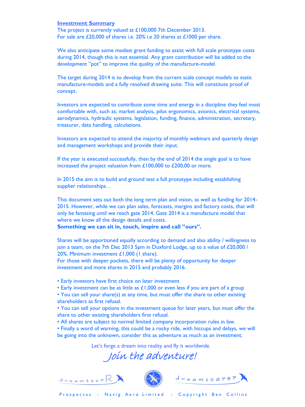#### Investment Summary **Investment Summary**

The project is currently valued at £100,000 7th December 2013. For sale are £20,000 of shares i.e. 20% i.e 20 shares at £1000 per share.

We also anticipate some modest grant funding to assist with full scale prototype costs during 2014, though this is not essential. Any grant contribution will be added to the development "pot" to improve the quality of the manufacture-model.

The target during 2014 is to develop from the current scale concept models to static manufacture-models and a fully resolved drawing suite. This will constitute proof of concept.

Investors are expected to contribute some time and energy in a discipline they feel most comfortable with, such as; market analysis, pilot ergonomics, avionics, electrical systems, aerodynamics, hydraulic systems, legislation, funding, finance, administration, secretary, treasurer, data handling, calculations.

Investors are expected to attend the majority of monthly webinars and quarterly design and management workshops and provide their input.

If the year is executed successfully, then by the end of 2014 the single goal is to have increased the project valuation from £100,000 to £200,00 or more.

In 2015 the aim is to build and ground test a full prototype including establishing supplier relationships. .

This document sets out both the long term plan and vision, as well as funding for 2014- 2015. However, while we can plan sales, forecasts, margins and factory costs, that will only be fantasing until we reach gate 2014. Gate 2014 is a manufacture model that where we know all the design details and costs.

**Something we can sit in, touch, inspire and call "ours".**

Shares will be apportioned equally according to demand and also ability / willingness to join a team, on the 7th Dec 2013 5pm in Duxford Lodge, up to a value of £20,000 / 20%. Minimum investment £1,000 (1 share).

For those with deeper pockets, there will be plenty of opportunity for deeper investment and more shares in 2015 and probably 2016.

- Early investors have first choice on later investment
- Early investment can be as little as £1,000 or even less if you are part of a group

• You can sell your share(s) at any time, but must offer the share to other existing shareholders as first refusal.

• You can sell your options in the investment queue for later years, but must offer the share to other existing shareholders first refusal.

• All shares are subject to normal limited company incorporation rules in law.

• Finally a word of warning, this could be a rocky ride, with hiccups and delays, we will be going into the unknown, consider this as adventure as much as an investment.

Let's forge a dream into reality and fly it worldwide.

Join the adventure!

![](_page_28_Picture_20.jpeg)

![](_page_28_Picture_21.jpeg)

![](_page_28_Picture_22.jpeg)